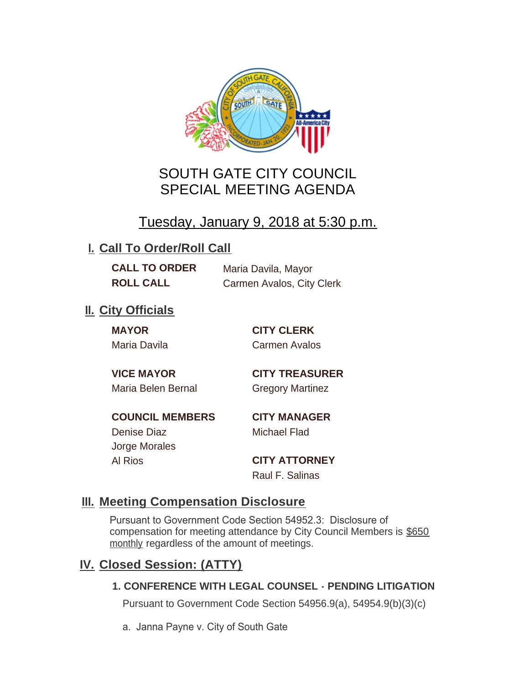

# SOUTH GATE CITY COUNCIL SPECIAL MEETING AGENDA

# Tuesday, January 9, 2018 at 5:30 p.m.

# **I. Call To Order/Roll Call**

**CALL TO ORDER** Maria Davila, Mayor **ROLL CALL** Carmen Avalos, City Clerk

# **II.** City Officials

**MAYOR CITY CLERK**

Maria Davila Carmen Avalos

Maria Belen Bernal Gregory Martinez

**VICE MAYOR CITY TREASURER**

**COUNCIL MEMBERS CITY MANAGER** Denise Diaz Michael Flad

Jorge Morales

Al Rios **CITY ATTORNEY** Raul F. Salinas

### **Meeting Compensation Disclosure III.**

Pursuant to Government Code Section 54952.3: Disclosure of compensation for meeting attendance by City Council Members is \$650 monthly regardless of the amount of meetings.

### **Closed Session: (ATTY) IV.**

#### **1. CONFERENCE WITH LEGAL COUNSEL - PENDING LITIGATION**

Pursuant to Government Code Section 54956.9(a), 54954.9(b)(3)(c)

a. Janna Payne v. City of South Gate